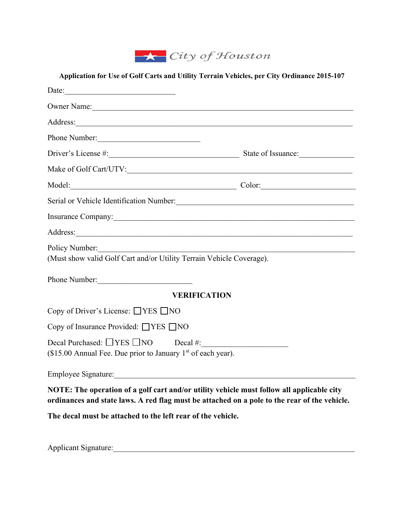

| Application for Use of Golf Carts and Utility Terrain Vehicles, per City Ordinance 2015-107                                                                                                                                    |  |
|--------------------------------------------------------------------------------------------------------------------------------------------------------------------------------------------------------------------------------|--|
| Date:                                                                                                                                                                                                                          |  |
| Owner Name:                                                                                                                                                                                                                    |  |
| Address:                                                                                                                                                                                                                       |  |
| Phone Number:                                                                                                                                                                                                                  |  |
| Driver's License #: State of Issuance:                                                                                                                                                                                         |  |
|                                                                                                                                                                                                                                |  |
|                                                                                                                                                                                                                                |  |
|                                                                                                                                                                                                                                |  |
| Insurance Company: 1988 Company: 1988 Company: 1988 Company: 1988 Company: 1988 Company: 1988 Company: 1988 Company: 1988 Company: 1988 Company: 1988 Company: 1988 Company: 1988 Company: 1988 Company: 1988 Company: 1988 Co |  |
| Address:                                                                                                                                                                                                                       |  |
| Policy Number:<br>(Must show valid Golf Cart and/or Utility Terrain Vehicle Coverage).                                                                                                                                         |  |
| Phone Number:                                                                                                                                                                                                                  |  |
| <b>VERIFICATION</b>                                                                                                                                                                                                            |  |
| Copy of Driver's License: $\Box$ YES $\Box$ NO                                                                                                                                                                                 |  |
| Copy of Insurance Provided: □ YES □ NO                                                                                                                                                                                         |  |
| Decal Purchased: UYES UNO Decal #:<br>(\$15.00 Annual Fee. Due prior to January 1st of each year).                                                                                                                             |  |
|                                                                                                                                                                                                                                |  |
| NOTE: The operation of a golf cart and/or utility vehicle must follow all applicable city<br>ordinances and state laws. A red flag must be attached on a pole to the rear of the vehicle.                                      |  |

**The decal must be attached to the left rear of the vehicle.**

Applicant Signature:\_\_\_\_\_\_\_\_\_\_\_\_\_\_\_\_\_\_\_\_\_\_\_\_\_\_\_\_\_\_\_\_\_\_\_\_\_\_\_\_\_\_\_\_\_\_\_\_\_\_\_\_\_\_\_\_\_\_\_\_\_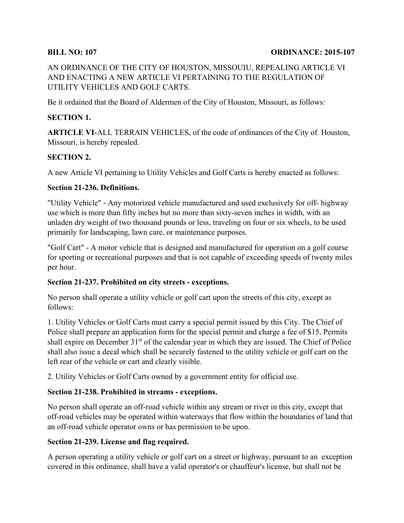#### **BILL NO: 107 ORDINANCE: 2015-107**

AN ORDINANCE OF THE CITY OF HOUSTON, MISSOUIU, REPEALING ARTICLE VI AND ENACTING A NEW ARTICLE VI PERTAINING TO THE REGULATION OF UTILITY VEHICLES AND GOLF CARTS.

Be it ordained that the Board of Aldermen of the City of Houston, Missouri, as follows:

#### **SECTION 1.**

**ARTICLE VI**-ALL TERRAIN VEHICLES, of the code of ordinances of the City of. Houston, Missouri, is hereby repealed.

## **SECTION 2.**

A new Article VI pertaining to Utility Vehicles and Golf Carts is hereby enacted as follows:

#### **Section 21-236. Definitions.**

"Utility Vehicle" - Any motorized vehicle manufactured and used exclusively for off- highway use which is more than fifty inches but no more than sixty-seven inches in width, with an unladen dry weight of two thousand pounds or less, traveling on four or six wheels, to be used primarily for landscaping, lawn care, or maintenance purposes.

"Golf Cart" - A motor vehicle that is designed and manufactured for operation on a golf course for sporting or recreational purposes and that is not capable of exceeding speeds of twenty miles per hour.

#### **Section 21-237. Prohibited on city streets - exceptions.**

No person shall operate a utility vehicle or golf cart upon the streets of this city, except as follows:

1. Utility Vehicles or Golf Carts must carry a special permit issued by this City. The Chief of Police shall prepare an application form for the special permit and charge a fee of \$15. Permits shall expire on December 31<sup>st</sup> of the calendar year in which they are issued. The Chief of Police shall also issue a decal which shall be securely fastened to the utility vehicle or golf cart on the left rear of the vehicle or cart and clearly visible.

2. Utility Vehicles or Golf Carts owned by a government entity for official use.

## **Section 21-238. Prohibited in streams - exceptions.**

No person shall operate an off-road vehicle within any stream or river in this city, except that off-road vehicles may be operated within waterways that flow within the boundaries of land that an off-road vehicle operator owns or has permission to be upon.

#### **Section 21-239. License and flag required.**

A person operating a utility vehicle or golf cart on a street or highway, pursuant to an exception covered in this ordinance, shall have a valid operator's or chauffeur's license, but shall not be